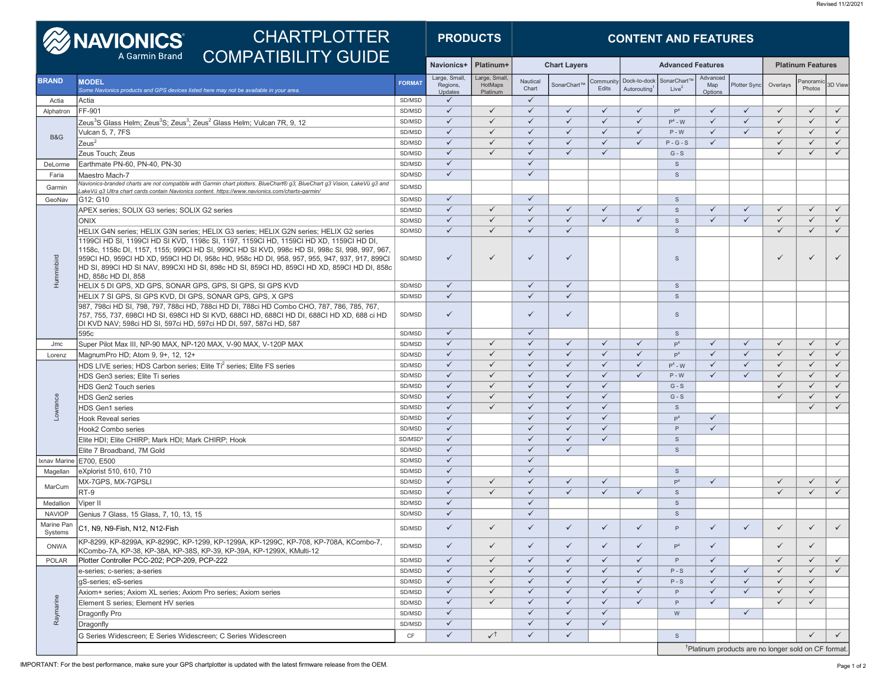| <b>CHARTPLOTTER</b><br><b>EXAMPLE DES</b> |                                                                                                                                                                                                                                                                                                                                                                                                               |                     | <b>PRODUCTS</b>                     |                                     | <b>CONTENT AND FEATURES</b>  |                              |                   |                             |                                                                 |                            |                     |                          |                   |              |  |
|-------------------------------------------|---------------------------------------------------------------------------------------------------------------------------------------------------------------------------------------------------------------------------------------------------------------------------------------------------------------------------------------------------------------------------------------------------------------|---------------------|-------------------------------------|-------------------------------------|------------------------------|------------------------------|-------------------|-----------------------------|-----------------------------------------------------------------|----------------------------|---------------------|--------------------------|-------------------|--------------|--|
|                                           | <b>COMPATIBILITY GUIDE</b><br>A Garmin Brand                                                                                                                                                                                                                                                                                                                                                                  |                     | Navionics+                          | Platinum+                           | <b>Chart Layers</b>          |                              |                   | <b>Advanced Features</b>    |                                                                 |                            |                     | <b>Platinum Features</b> |                   |              |  |
| <b>BRAND</b>                              | <b>MODEL</b><br>Some Navionics products and GPS devices listed here may not be available in your area                                                                                                                                                                                                                                                                                                         | <b>FORMAT</b>       | Large, Small<br>Regions,<br>Updates | Large, Small<br>HotMaps<br>Platinum | Nautical<br>Chart            | SonarChart <sup>™</sup>      | Communit<br>Edits | Dock-to-dock<br>Autorouting | SonarChart <sup>1</sup><br>Live <sup>2</sup>                    | Advanced<br>Map<br>Options | <b>Plotter Sync</b> | Overlays                 | Panoram<br>Photos | 3D View      |  |
| Actia                                     | Actia                                                                                                                                                                                                                                                                                                                                                                                                         | SD/MSD              | $\checkmark$                        |                                     | $\checkmark$                 |                              |                   |                             |                                                                 |                            |                     |                          |                   |              |  |
| Alphatron                                 | FF-901                                                                                                                                                                                                                                                                                                                                                                                                        |                     | $\checkmark$                        | $\checkmark$                        | $\checkmark$                 | $\checkmark$                 | $\checkmark$      | $\checkmark$                | P <sup>4</sup>                                                  | $\checkmark$               | $\checkmark$        | $\checkmark$             | $\checkmark$      | $\checkmark$ |  |
|                                           | Zeus <sup>3</sup> S Glass Helm; Zeus <sup>3</sup> S; Zeus <sup>3</sup> ; Zeus <sup>2</sup> Glass Helm; Vulcan 7R, 9, 12                                                                                                                                                                                                                                                                                       | SD/MSD              | $\checkmark$                        | $\checkmark$                        | $\checkmark$                 | $\checkmark$                 | $\checkmark$      | $\checkmark$                | $P^4$ - W                                                       | $\checkmark$               | $\checkmark$        | $\checkmark$             | $\checkmark$      | $\checkmark$ |  |
| <b>B&amp;G</b>                            | Vulcan 5, 7, 7FS                                                                                                                                                                                                                                                                                                                                                                                              | SD/MSD              | $\checkmark$                        | $\checkmark$                        | $\checkmark$                 | $\checkmark$                 | $\checkmark$      | $\checkmark$                | $P - W$                                                         | $\checkmark$               | $\checkmark$        | $\checkmark$             | $\checkmark$      | $\checkmark$ |  |
|                                           | Zeus <sup>2</sup>                                                                                                                                                                                                                                                                                                                                                                                             | SD/MSD              | $\checkmark$                        | $\checkmark$                        | $\checkmark$                 | $\checkmark$                 | $\checkmark$      | $\checkmark$                | $P - G - S$                                                     | $\checkmark$               |                     | $\checkmark$             | $\checkmark$      | $\checkmark$ |  |
|                                           | Zeus Touch; Zeus                                                                                                                                                                                                                                                                                                                                                                                              | SD/MSD              | $\checkmark$                        | $\checkmark$                        | $\checkmark$                 | $\checkmark$                 | $\checkmark$      |                             | $G-S$                                                           |                            |                     | $\checkmark$             | $\checkmark$      | $\checkmark$ |  |
| DeLorme                                   | Earthmate PN-60, PN-40, PN-30                                                                                                                                                                                                                                                                                                                                                                                 | SD/MSD              | $\checkmark$                        |                                     | $\checkmark$                 |                              |                   |                             | $\mathbf{s}$                                                    |                            |                     |                          |                   |              |  |
| Faria                                     | Maestro Mach-7                                                                                                                                                                                                                                                                                                                                                                                                | SD/MSD              | $\checkmark$                        |                                     | $\checkmark$                 |                              |                   |                             | S                                                               |                            |                     |                          |                   |              |  |
| Garmin                                    | Navionics-branded charts are not compatible with Garmin chart plotters. BlueChart® g3, BlueChart g3 Vision, LakeVü g3 and<br>/LakeVü q3 Ultra chart cards contain Navionics content. https://www.navionics.com/charts-garmin_                                                                                                                                                                                 | SD/MSD              |                                     |                                     |                              |                              |                   |                             |                                                                 |                            |                     |                          |                   |              |  |
| GeoNav                                    | G12; G10                                                                                                                                                                                                                                                                                                                                                                                                      | SD/MSD              | $\checkmark$                        |                                     | $\checkmark$                 |                              |                   |                             | $\mathsf S$                                                     |                            |                     |                          |                   |              |  |
|                                           | APEX series; SOLIX G3 series; SOLIX G2 series                                                                                                                                                                                                                                                                                                                                                                 | SD/MSD              | $\checkmark$                        | $\checkmark$                        | $\checkmark$                 | $\checkmark$                 | $\checkmark$      | ✓                           | S                                                               | $\checkmark$               | $\checkmark$        | $\checkmark$             | $\checkmark$      | $\checkmark$ |  |
|                                           | <b>ONIX</b>                                                                                                                                                                                                                                                                                                                                                                                                   | SD/MSD              | $\checkmark$                        | $\checkmark$                        | $\checkmark$                 | $\checkmark$                 | $\checkmark$      | $\checkmark$                | S                                                               | $\checkmark$               | $\checkmark$        | $\checkmark$             | $\checkmark$      | $\checkmark$ |  |
|                                           | HELIX G4N series; HELIX G3N series; HELIX G3 series; HELIX G2N series; HELIX G2 series                                                                                                                                                                                                                                                                                                                        | SD/MSD              | $\checkmark$                        | $\checkmark$                        | $\checkmark$                 | $\checkmark$                 |                   |                             | $\mathsf{s}$                                                    |                            |                     | $\checkmark$             | $\checkmark$      | $\checkmark$ |  |
| Humminbird                                | 1199CI HD SI, 1199CI HD SI KVD, 1198c SI, 1197, 1159CI HD, 1159CI HD XD, 1159CI HD DI,<br>1158c, 1158c DI, 1157, 1155; 999CI HD SI, 999CI HD SI KVD, 998c HD SI, 998c SI, 998, 997, 967,<br>959CI HD, 959CI HD XD, 959CI HD DI, 958c HD, 958c HD DI, 958, 957, 955, 947, 937, 917, 899CI<br>HD SI, 899CI HD SI NAV, 899CXI HD SI, 898c HD SI, 859CI HD, 859CI HD XD, 859CI HD DI, 858c<br>HD, 858c HD DI, 858 | SD/MSD              | ✓                                   | ✓                                   | ✓                            | $\checkmark$                 |                   |                             | S                                                               |                            |                     | $\checkmark$             | ✓                 | $\checkmark$ |  |
|                                           | HELIX 5 DI GPS, XD GPS, SONAR GPS, GPS, SI GPS, SI GPS KVD                                                                                                                                                                                                                                                                                                                                                    | SD/MSD              | $\checkmark$                        |                                     | $\checkmark$                 | $\checkmark$                 |                   |                             | <sub>S</sub>                                                    |                            |                     |                          |                   |              |  |
|                                           | HELIX 7 SI GPS, SI GPS KVD, DI GPS, SONAR GPS, GPS, X GPS<br>987, 798ci HD SI, 798, 797, 788ci HD, 788ci HD DI, 788ci HD Combo CHO, 787, 786, 785, 767,<br>757, 755, 737, 698CI HD SI, 698CI HD SI KVD, 688CI HD, 688CI HD DI, 688CI HD XD, 688 ci HD<br>DI KVD NAV; 598ci HD SI, 597ci HD, 597ci HD DI, 597, 587ci HD, 587                                                                                   | SD/MSD<br>SD/MSD    | $\checkmark$<br>✓                   |                                     | $\checkmark$<br>✓            | $\checkmark$<br>$\checkmark$ |                   |                             | $\mathbf{s}$<br>$\mathsf S$                                     |                            |                     |                          |                   |              |  |
|                                           | 595c                                                                                                                                                                                                                                                                                                                                                                                                          | SD/MSD              | $\checkmark$                        |                                     | $\checkmark$                 |                              |                   |                             | $\mathsf S$                                                     |                            |                     |                          |                   |              |  |
| Jmc                                       | Super Pilot Max III, NP-90 MAX, NP-120 MAX, V-90 MAX, V-120P MAX                                                                                                                                                                                                                                                                                                                                              |                     | $\checkmark$                        | $\checkmark$                        | $\checkmark$                 | $\checkmark$                 | $\checkmark$      | $\checkmark$                | P <sup>4</sup>                                                  | $\checkmark$               | $\checkmark$        | $\checkmark$             | $\checkmark$      | $\checkmark$ |  |
| Lorenz                                    | MagnumPro HD; Atom 9, 9+, 12, 12+                                                                                                                                                                                                                                                                                                                                                                             | SD/MSD              | $\checkmark$                        | $\checkmark$                        | $\checkmark$                 | $\checkmark$                 | $\checkmark$      | $\checkmark$                | P <sup>4</sup>                                                  | $\checkmark$               | $\checkmark$        | $\checkmark$             | $\checkmark$      | $\checkmark$ |  |
|                                           | HDS LIVE series; HDS Carbon series; Elite Ti <sup>2</sup> series; Elite FS series                                                                                                                                                                                                                                                                                                                             | SD/MSD              | $\checkmark$                        | $\checkmark$                        | $\checkmark$                 | $\checkmark$                 | $\checkmark$      | $\checkmark$                | $P^4$ - W                                                       | $\checkmark$               | $\checkmark$        | $\checkmark$             | $\checkmark$      | $\checkmark$ |  |
|                                           | HDS Gen3 series: Elite Ti series                                                                                                                                                                                                                                                                                                                                                                              | SD/MSD              | $\checkmark$                        | $\checkmark$                        | $\checkmark$                 | $\checkmark$                 | $\checkmark$      | $\checkmark$                | $P - W$                                                         | $\checkmark$               | $\checkmark$        | $\checkmark$             | $\checkmark$      | $\checkmark$ |  |
|                                           | <b>HDS Gen2 Touch series</b>                                                                                                                                                                                                                                                                                                                                                                                  | SD/MSD              | $\checkmark$                        | $\checkmark$                        | $\checkmark$                 | $\checkmark$                 | $\checkmark$      |                             | $G-S$                                                           |                            |                     | $\checkmark$             | $\checkmark$      | $\checkmark$ |  |
|                                           | <b>HDS Gen2 series</b>                                                                                                                                                                                                                                                                                                                                                                                        | SD/MSD              | $\checkmark$                        | $\checkmark$                        | $\checkmark$                 | $\checkmark$                 | $\checkmark$      |                             | $G - S$                                                         |                            |                     | $\checkmark$             | $\checkmark$      | $\checkmark$ |  |
| Lowrance                                  | <b>HDS Gen1 series</b>                                                                                                                                                                                                                                                                                                                                                                                        | SD/MSD              | $\checkmark$                        | $\checkmark$                        | $\checkmark$                 | $\checkmark$                 | $\checkmark$      |                             | $\mathsf S$                                                     |                            |                     |                          | $\checkmark$      | $\checkmark$ |  |
|                                           | <b>Hook Reveal series</b>                                                                                                                                                                                                                                                                                                                                                                                     | SD/MSD              | $\checkmark$                        |                                     | $\checkmark$                 | $\checkmark$                 | $\checkmark$      |                             | P <sup>4</sup>                                                  | $\checkmark$               |                     |                          |                   |              |  |
|                                           | Hook2 Combo series                                                                                                                                                                                                                                                                                                                                                                                            | SD/MSD              | $\checkmark$                        |                                     | $\checkmark$                 | $\checkmark$                 | $\checkmark$      |                             | P                                                               | $\checkmark$               |                     |                          |                   |              |  |
|                                           | Elite HDI; Elite CHIRP; Mark HDI; Mark CHIRP; Hook                                                                                                                                                                                                                                                                                                                                                            | SD/MSD <sup>3</sup> | $\checkmark$                        |                                     | $\checkmark$                 | $\checkmark$                 | $\checkmark$      |                             | S                                                               |                            |                     |                          |                   |              |  |
|                                           | Elite 7 Broadband, 7M Gold                                                                                                                                                                                                                                                                                                                                                                                    | SD/MSD              | $\checkmark$                        |                                     | $\checkmark$                 | $\checkmark$                 |                   |                             | S                                                               |                            |                     |                          |                   |              |  |
| Ixnav Marine                              | E700, E500                                                                                                                                                                                                                                                                                                                                                                                                    | SD/MSD              | $\checkmark$                        |                                     | $\checkmark$                 |                              |                   |                             |                                                                 |                            |                     |                          |                   |              |  |
| Magellan                                  | eXplorist 510, 610, 710                                                                                                                                                                                                                                                                                                                                                                                       | SD/MSD              | $\checkmark$                        |                                     | $\checkmark$                 |                              |                   |                             | <sub>S</sub>                                                    |                            |                     |                          |                   |              |  |
| MarCum                                    | MX-7GPS, MX-7GPSLI                                                                                                                                                                                                                                                                                                                                                                                            | SD/MSD              | $\checkmark$<br>$\checkmark$        | ✓<br>$\checkmark$                   | $\checkmark$                 | $\checkmark$<br>$\checkmark$ | $\checkmark$      |                             | P <sup>4</sup>                                                  | $\checkmark$               |                     | $\checkmark$             | $\checkmark$      | $\checkmark$ |  |
|                                           | RT-9                                                                                                                                                                                                                                                                                                                                                                                                          | SD/MSD              |                                     |                                     | $\checkmark$                 |                              | $\checkmark$      | $\checkmark$                | $\mathsf{s}$                                                    |                            |                     | $\checkmark$             | $\checkmark$      | $\checkmark$ |  |
| Medallion                                 | Viper II                                                                                                                                                                                                                                                                                                                                                                                                      | SD/MSD              | $\checkmark$<br>$\checkmark$        |                                     | $\checkmark$<br>$\checkmark$ |                              |                   |                             | $\mathsf S$                                                     |                            |                     |                          |                   |              |  |
| <b>NAVIOP</b><br>Marine Pan<br>Systems    | Genius 7 Glass, 15 Glass, 7, 10, 13, 15<br>C1, N9, N9-Fish, N12, N12-Fish                                                                                                                                                                                                                                                                                                                                     | SD/MSD<br>SD/MSD    | ✓                                   | $\checkmark$                        | $\checkmark$                 | $\checkmark$                 | $\checkmark$      |                             | S<br>$\mathsf{P}$                                               | $\checkmark$               | $\checkmark$        | $\checkmark$             | $\checkmark$      | $\checkmark$ |  |
| <b>ONWA</b>                               | KP-8299, KP-8299A, KP-8299C, KP-1299, KP-1299A, KP-1299C, KP-708, KP-708A, KCombo-7,<br>KCombo-7A, KP-38, KP-38A, KP-38S, KP-39, KP-39A, KP-1299X, KMulti-12                                                                                                                                                                                                                                                  | SD/MSD              | $\checkmark$                        | $\checkmark$                        | $\checkmark$                 | $\checkmark$                 | $\checkmark$      | ✓                           | P <sup>4</sup>                                                  | $\checkmark$               |                     | $\checkmark$             | ✓                 |              |  |
| POLAR                                     | Plotter Controller PCC-202; PCP-209, PCP-222                                                                                                                                                                                                                                                                                                                                                                  | SD/MSD              | $\checkmark$                        | $\checkmark$                        | $\checkmark$                 | $\checkmark$                 | $\checkmark$      | $\checkmark$                | P                                                               | $\checkmark$               |                     | $\checkmark$             | $\checkmark$      | $\checkmark$ |  |
| Raymarine                                 | e-series; c-series; a-series                                                                                                                                                                                                                                                                                                                                                                                  | SD/MSD              | $\checkmark$                        | $\checkmark$                        | $\checkmark$                 | $\checkmark$                 | $\checkmark$      | $\checkmark$                | $P-S$                                                           | $\checkmark$               | $\checkmark$        | $\checkmark$             | $\checkmark$      | $\checkmark$ |  |
|                                           | gS-series; eS-series                                                                                                                                                                                                                                                                                                                                                                                          | SD/MSD              | $\checkmark$                        | $\checkmark$                        | $\checkmark$                 | $\checkmark$                 | $\checkmark$      | $\checkmark$                | $P-S$                                                           | $\checkmark$               | $\checkmark$        | $\checkmark$             | $\checkmark$      |              |  |
|                                           | Axiom+ series; Axiom XL series; Axiom Pro series; Axiom series                                                                                                                                                                                                                                                                                                                                                | SD/MSD              | $\checkmark$                        | $\checkmark$                        | $\checkmark$                 | $\checkmark$                 | $\checkmark$      | $\checkmark$                | P                                                               | $\checkmark$               | $\checkmark$        | $\checkmark$             | $\checkmark$      |              |  |
|                                           | Element S series; Element HV series                                                                                                                                                                                                                                                                                                                                                                           | SD/MSD              | $\checkmark$                        | $\checkmark$                        | $\checkmark$                 | $\checkmark$                 | $\checkmark$      | $\checkmark$                | P                                                               | $\checkmark$               |                     | $\checkmark$             | $\checkmark$      |              |  |
|                                           | Dragonfly Pro                                                                                                                                                                                                                                                                                                                                                                                                 | SD/MSD              | $\checkmark$                        |                                     | $\checkmark$                 | $\checkmark$                 | $\checkmark$      |                             | W                                                               |                            | $\checkmark$        |                          |                   |              |  |
|                                           | Dragonfly                                                                                                                                                                                                                                                                                                                                                                                                     | SD/MSD              | $\checkmark$                        |                                     | $\checkmark$                 | $\checkmark$                 | $\checkmark$      |                             |                                                                 |                            |                     |                          |                   |              |  |
|                                           | G Series Widescreen; E Series Widescreen; C Series Widescreen                                                                                                                                                                                                                                                                                                                                                 | CF                  | $\checkmark$                        | $\checkmark$                        | ✓                            | $\checkmark$                 |                   |                             | $\mathbb S$                                                     |                            |                     |                          | $\checkmark$      | $\checkmark$ |  |
|                                           |                                                                                                                                                                                                                                                                                                                                                                                                               |                     |                                     |                                     |                              |                              |                   |                             | <sup>†</sup> Platinum products are no longer sold on CF format. |                            |                     |                          |                   |              |  |